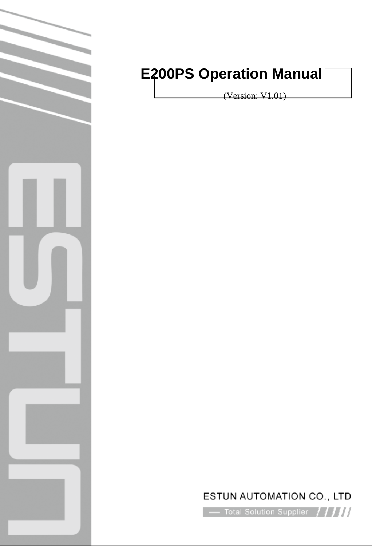

# **E200PS Operation Manual**

(Version: V1.01)

## ESTUN AUTOMATION CO., LTD

 $\sim$  Total Solution Supplier  $\left\langle \left\langle \right\rangle \right\rangle$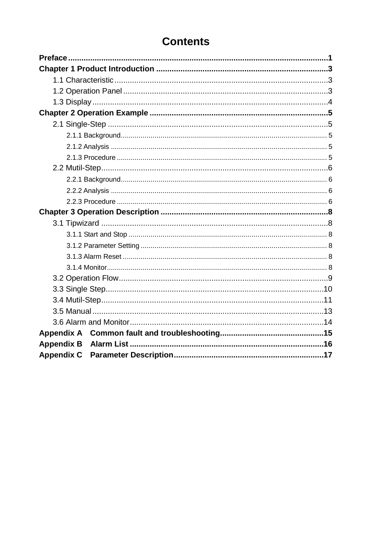## **Contents**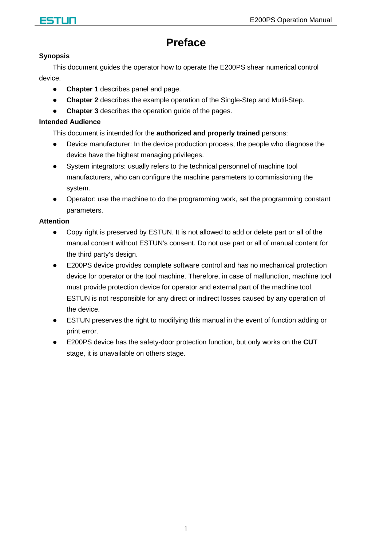

## **Preface**

#### <span id="page-2-0"></span>**Synopsis**

This document guides the operator how to operate the E200PS shear numerical control device.

- **Chapter 1** describes panel and page.
- **Chapter 2** describes the example operation of the Single-Step and Mutil-Step.
- **Chapter 3** describes the operation guide of the pages.

#### **Intended Audience**

This document is intended for the **authorized and properly trained** persons:

- Device manufacturer: In the device production process, the people who diagnose the device have the highest managing privileges.
- System integrators: usually refers to the technical personnel of machine tool manufacturers, who can configure the machine parameters to commissioning the system.
- Operator: use the machine to do the programming work, set the programming constant parameters.

#### **Attention**

- Copy right is preserved by ESTUN. It is not allowed to add or delete part or all of the manual content without ESTUN's consent. Do not use part or all of manual content for the third party's design.
- E200PS device provides complete software control and has no mechanical protection device for operator or the tool machine. Therefore, in case of malfunction, machine tool must provide protection device for operator and external part of the machine tool. ESTUN is not responsible for any direct or indirect losses caused by any operation of the device.
- ESTUN preserves the right to modifying this manual in the event of function adding or print error.
- E200PS device has the safety-door protection function, but only works on the **CUT** stage, it is unavailable on others stage.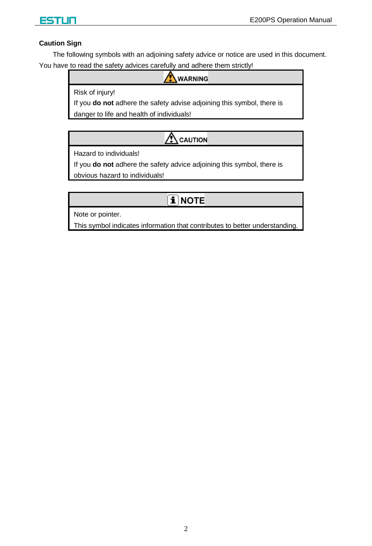

#### **Caution Sign**

The following symbols with an adjoining safety advice or notice are used in this document. You have to read the safety advices carefully and adhere them strictly!

**WARNING** 

Risk of injury!

If you **do not** adhere the safety advise adjoining this symbol, there is

danger to life and health of individuals!

## $\triangle$  CAUTION

Hazard to individuals!

If you **do not** adhere the safety advice adjoining this symbol, there is

obvious hazard to individuals!

## $\mathbf{\hat{i}}$  note

Note or pointer.

This symbol indicates information that contributes to better understanding.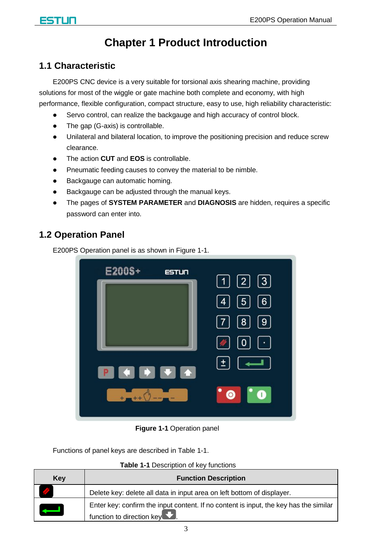## **Chapter 1 Product Introduction**

### <span id="page-4-1"></span><span id="page-4-0"></span>**1.1 Characteristic**

E200PS CNC device is a very suitable for torsional axis shearing machine, providing solutions for most of the wiggle or gate machine both complete and economy, with high performance, flexible configuration, compact structure, easy to use, high reliability characteristic:

- Servo control, can realize the backgauge and high accuracy of control block.
- The gap (G-axis) is controllable.
- Unilateral and bilateral location, to improve the positioning precision and reduce screw clearance.
- The action **CUT** and **EOS** is controllable.
- Pneumatic feeding causes to convey the material to be nimble.
- Backgauge can automatic homing.
- Backgauge can be adjusted through the manual keys.
- The pages of **SYSTEM PARAMETER** and **DIAGNOSIS** are hidden, requires a specific password can enter into.

### <span id="page-4-2"></span>**1.2 Operation Panel**

E200PS Operation panel is as shown in [Figure 1-1.](#page-4-3)



**Figure 1-1** Operation panel

<span id="page-4-3"></span>Functions of panel keys are described in [Table 1-1.](#page-4-4)

**Table 1-1** Description of key functions

<span id="page-4-4"></span>

| Kev | <b>Function Description</b>                                                                                                         |
|-----|-------------------------------------------------------------------------------------------------------------------------------------|
|     | Delete key: delete all data in input area on left bottom of displayer.                                                              |
|     | Enter key: confirm the input content. If no content is input, the key has the similar<br>function to direction key $\blacksquare$ . |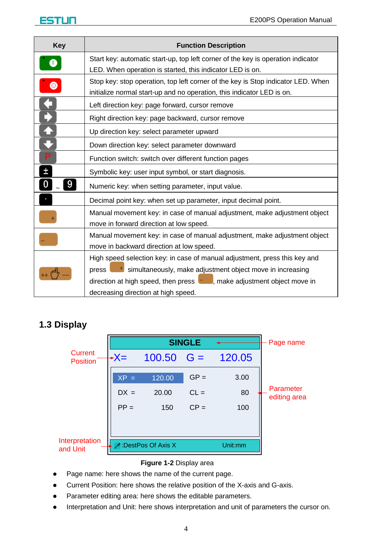

| Key       | <b>Function Description</b>                                                             |  |  |  |  |
|-----------|-----------------------------------------------------------------------------------------|--|--|--|--|
| Œ         | Start key: automatic start-up, top left corner of the key is operation indicator        |  |  |  |  |
|           | LED. When operation is started, this indicator LED is on.                               |  |  |  |  |
| $\bullet$ | Stop key: stop operation, top left corner of the key is Stop indicator LED. When        |  |  |  |  |
|           | initialize normal start-up and no operation, this indicator LED is on.                  |  |  |  |  |
|           | Left direction key: page forward, cursor remove                                         |  |  |  |  |
|           | Right direction key: page backward, cursor remove                                       |  |  |  |  |
|           | Up direction key: select parameter upward                                               |  |  |  |  |
|           | Down direction key: select parameter downward                                           |  |  |  |  |
| D         | Function switch: switch over different function pages                                   |  |  |  |  |
| 土         | Symbolic key: user input symbol, or start diagnosis.                                    |  |  |  |  |
| 9         | Numeric key: when setting parameter, input value.                                       |  |  |  |  |
|           | Decimal point key: when set up parameter, input decimal point.                          |  |  |  |  |
|           | Manual movement key: in case of manual adjustment, make adjustment object               |  |  |  |  |
|           | move in forward direction at low speed.                                                 |  |  |  |  |
|           | Manual movement key: in case of manual adjustment, make adjustment object               |  |  |  |  |
|           | move in backward direction at low speed.                                                |  |  |  |  |
|           | High speed selection key: in case of manual adjustment, press this key and              |  |  |  |  |
|           | <sup>t</sup> simultaneously, make adjustment object move in increasing<br>press         |  |  |  |  |
|           | direction at high speed, then press <b>and produce</b> , make adjustment object move in |  |  |  |  |
|           | decreasing direction at high speed.                                                     |  |  |  |  |

### <span id="page-5-0"></span>**1.3 Display**

|                                   |        |                   | <b>SINGLE</b> |         | Page name                 |
|-----------------------------------|--------|-------------------|---------------|---------|---------------------------|
| <b>Current</b><br><b>Position</b> | -X=    | $100.50$ G =      |               | 120.05  |                           |
|                                   | $XP =$ | 120.00            | $GP =$        | 3.00    |                           |
|                                   | $DX =$ | 20.00             | $CL =$        | 80      | Parameter<br>editing area |
|                                   | $PP =$ | 150               | $CP =$        | 100     |                           |
|                                   |        |                   |               |         |                           |
| Interpretation<br>and Unit        |        | DestPos Of Axis X |               | Unit:mm |                           |

#### **Figure 1-2** Display area

- Page name: here shows the name of the current page.
- Current Position: here shows the relative position of the X-axis and G-axis.
- Parameter editing area: here shows the editable parameters.
- Interpretation and Unit: here shows interpretation and unit of parameters the cursor on.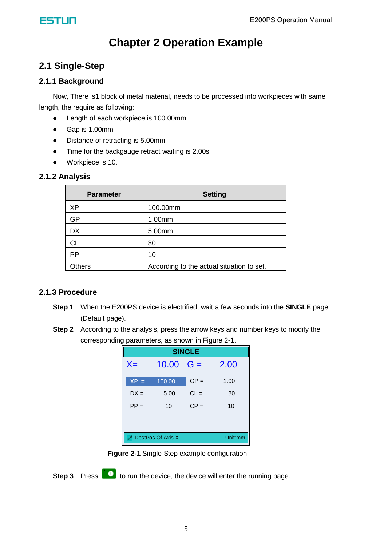## **Chapter 2 Operation Example**

### <span id="page-6-1"></span><span id="page-6-0"></span>**2.1 Single-Step**

#### <span id="page-6-2"></span>**2.1.1 Background**

Now, There is1 block of metal material, needs to be processed into workpieces with same length, the require as following:

- Length of each workpiece is 100.00mm
- Gap is 1.00mm
- Distance of retracting is 5.00mm
- Time for the backgauge retract waiting is 2.00s
- Workpiece is 10.

#### <span id="page-6-3"></span>**2.1.2 Analysis**

| <b>Parameter</b> | <b>Setting</b>                            |
|------------------|-------------------------------------------|
| XP               | 100.00mm                                  |
| GP               | 1.00mm                                    |
| <b>DX</b>        | 5.00mm                                    |
| СL               | 80                                        |
| PP               | 10                                        |
| <b>Others</b>    | According to the actual situation to set. |

#### <span id="page-6-4"></span>**2.1.3 Procedure**

- **Step 1** When the E200PS device is electrified, wait a few seconds into the **SINGLE** page (Default page).
- **Step 2** According to the analysis, press the arrow keys and number keys to modify the corresponding parameters, as shown in [Figure 2-1.](#page-6-5)

| <b>SINGLE</b>                   |                   |        |      |  |  |
|---------------------------------|-------------------|--------|------|--|--|
| $X =$                           | $10.00 \quad G =$ |        | 2.00 |  |  |
| $XP =$                          | 100.00            | $GP =$ | 1.00 |  |  |
| $DX =$                          | 5.00              | $CL =$ | 80   |  |  |
| $PP =$                          | 10                | $CP =$ | 10   |  |  |
|                                 |                   |        |      |  |  |
| Unit:mm<br>- :DestPos Of Axis X |                   |        |      |  |  |

**Figure 2-1** Single-Step example configuration

<span id="page-6-5"></span>**Step 3** Press **to** to run the device, the device will enter the running page.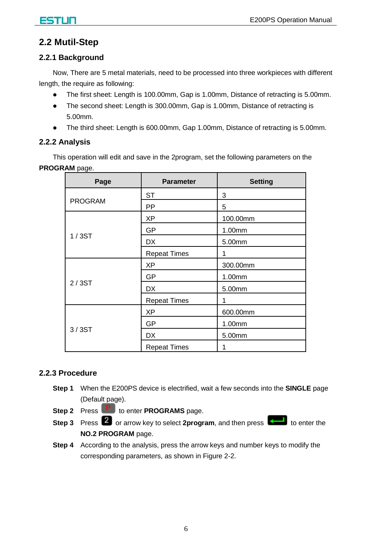### **2.2 Mutil-Step**

#### <span id="page-7-1"></span><span id="page-7-0"></span>**2.2.1 Background**

Now, There are 5 metal materials, need to be processed into three workpieces with different length, the require as following:

- The first sheet: Length is 100.00mm, Gap is 1.00mm, Distance of retracting is 5.00mm.
- The second sheet: Length is 300.00mm, Gap is 1.00mm, Distance of retracting is 5.00mm.
- The third sheet: Length is 600.00mm, Gap 1.00mm, Distance of retracting is 5.00mm.

#### <span id="page-7-2"></span>**2.2.2 Analysis**

This operation will edit and save in the 2program, set the following parameters on the **PROGRAM** page.

| Page           | <b>Parameter</b>    | <b>Setting</b> |
|----------------|---------------------|----------------|
|                | <b>ST</b>           | 3              |
| <b>PROGRAM</b> | PP                  | 5              |
|                | ХP                  | 100.00mm       |
|                | GP                  | 1.00mm         |
| 1/3ST          | <b>DX</b>           | 5.00mm         |
|                | <b>Repeat Times</b> | 1              |
|                | ХP                  | 300.00mm       |
|                | GP                  | 1.00mm         |
| 2/3ST          | <b>DX</b>           | 5.00mm         |
|                | <b>Repeat Times</b> | 1              |
|                | XP                  | 600.00mm       |
|                | GP                  | 1.00mm         |
| 3/3ST          | <b>DX</b>           | 5.00mm         |
|                | <b>Repeat Times</b> | 1              |

#### <span id="page-7-3"></span>**2.2.3 Procedure**

- **Step 1** When the E200PS device is electrified, wait a few seconds into the **SINGLE** page (Default page).
- **Step 2** Press **P** to enter **PROGRAMS** page.
- **Step 3** Press 2 or arrow key to select 2program, and then press **that** to enter the **NO.2 PROGRAM** page.
- **Step 4** According to the analysis, press the arrow keys and number keys to modify the corresponding parameters, as shown in [Figure 2-2.](#page-8-0)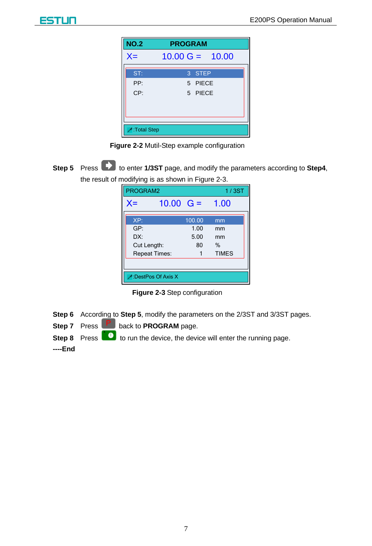| <b>NO.2</b>  | <b>PROGRAM</b>            |
|--------------|---------------------------|
| $X =$        | $10.00 \text{ G} = 10.00$ |
| ST:          | 3 STEP                    |
| PP:          | 5 PIECE                   |
| CP:          | 5 PIECE                   |
|              |                           |
|              |                           |
| ":Total Step |                           |

**Figure 2-2** Mutil-Step example configuration

<span id="page-8-2"></span><span id="page-8-0"></span>**Step 5** Press **to** enter **1/3ST** page, and modify the parameters according to Step4, the result of modifying is as shown in [Figure 2-3.](#page-8-1)

| PROGRAM2    |                      |        | 1/3ST        |  |  |
|-------------|----------------------|--------|--------------|--|--|
| $X =$       | $10.00 \text{ G} =$  |        | 1.00         |  |  |
| XP:         |                      | 100.00 | mm           |  |  |
| GP:         |                      | 1.00   | mm           |  |  |
| DX:         |                      | 5.00   | mm           |  |  |
| Cut Length: |                      | 80     | $\%$         |  |  |
|             | <b>Repeat Times:</b> |        | <b>TIMES</b> |  |  |
|             |                      |        |              |  |  |
|             | DestPos Of Axis X    |        |              |  |  |

**Figure 2-3** Step configuration

<span id="page-8-1"></span>**Step 6** According to **[Step 5](#page-8-2)**, modify the parameters on the 2/3ST and 3/3ST pages.

**Step 7** Press **P** back to **PROGRAM** page.

**Step 8** Press **to** to run the device, the device will enter the running page.

**----End**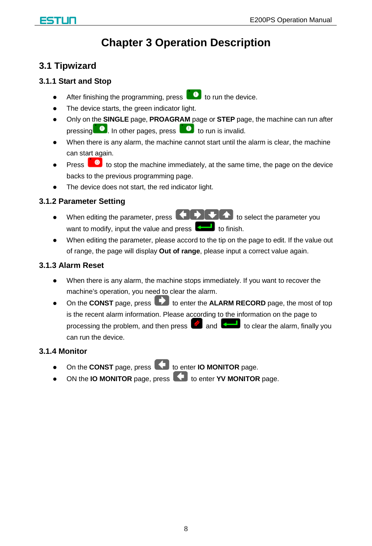## **Chapter 3 Operation Description**

### <span id="page-9-1"></span><span id="page-9-0"></span>**3.1 Tipwizard**

#### <span id="page-9-2"></span>**3.1.1 Start and Stop**

- After finishing the programming, press  $\Box$  to run the device.
- The device starts, the green indicator light.
- Only on the **SINGLE** page, **PROAGRAM** page or **STEP** page, the machine can run after pressing  $\bullet$ . In other pages, press  $\bullet$  to run is invalid.
- When there is any alarm, the machine cannot start until the alarm is clear, the machine can start again.
- Press  $\Box$  to stop the machine immediately, at the same time, the page on the device backs to the previous programming page.
- The device does not start, the red indicator light.

#### <span id="page-9-3"></span>**3.1.2 Parameter Setting**

- $\bullet$  When editing the parameter, press  $\bigodot$   $\bigodot$   $\bigodot$  to select the parameter you want to modify, input the value and press  $\left[\begin{matrix} 1 & 1 \\ 1 & 1 \end{matrix}\right]$  to finish.
- When editing the parameter, please accord to the tip on the page to edit. If the value out of range, the page will display **Out of range**, please input a correct value again.

#### <span id="page-9-4"></span>**3.1.3 Alarm Reset**

- When there is any alarm, the machine stops immediately. If you want to recover the machine's operation, you need to clear the alarm.
- On the **CONST** page, press **that** to enter the **ALARM RECORD** page, the most of top is the recent alarm information. Please according to the information on the page to processing the problem, and then press  $\Box$  and to clear the alarm, finally you can run the device.

#### <span id="page-9-5"></span>**3.1.4 Monitor**

- On the **CONST** page, press **to enter IO MONITOR** page.
- ON the **IO MONITOR** page, press **the set of the HONITOR** page.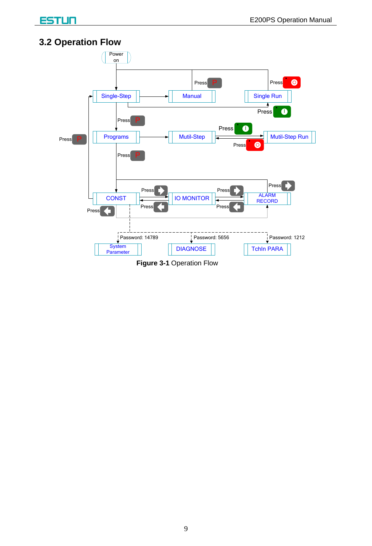### <span id="page-10-0"></span>**3.2 Operation Flow**

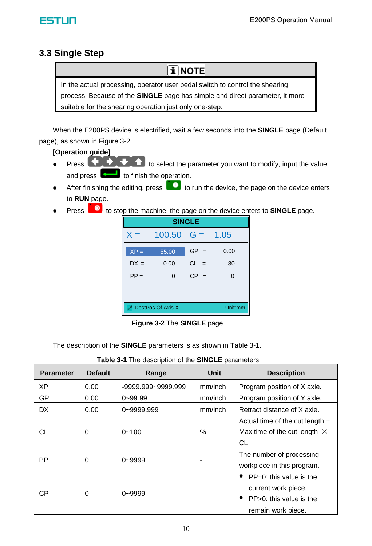### <span id="page-11-0"></span>**3.3 Single Step**

**i** NOTE

In the actual processing, operator user pedal switch to control the shearing process. Because of the **SINGLE** page has simple and direct parameter, it more suitable for the shearing operation just only one-step.

When the E200PS device is electrified, wait a few seconds into the **SINGLE** page (Default page), as shown in [Figure 3-2.](#page-11-1)

**[Operation guide]**:

- $\bullet$  Press  $\Box$   $\Box$   $\Box$  to select the parameter you want to modify, input the value and press  $\left\lfloor \frac{1}{n} \right\rfloor$  to finish the operation.
- After finishing the editing, press  $\Box$  to run the device, the page on the device enters to **RUN** page.
- Press **to** to stop the machine. the page on the device enters to **SINGLE** page.

| <b>SINGLE</b>                  |                         |        |          |  |  |
|--------------------------------|-------------------------|--------|----------|--|--|
| $X =$                          | $100.50 \quad G = 1.05$ |        |          |  |  |
| $XP =$                         | 55.00                   | $GP =$ | 0.00     |  |  |
| $DX =$                         | 0.00                    | $CL =$ | 80       |  |  |
| $PP =$                         | $\Omega$                | $CP =$ | $\Omega$ |  |  |
|                                |                         |        |          |  |  |
| Unit:mm<br>- DestPos Of Axis X |                         |        |          |  |  |

**Figure 3-2** The **SINGLE** page

<span id="page-11-1"></span>The description of the **SINGLE** parameters is as shown in [Table](#page-11-2) 3-1.

<span id="page-11-2"></span>

| <b>Parameter</b> | <b>Default</b> | Range              | <b>Unit</b> | <b>Description</b>                                                                                 |
|------------------|----------------|--------------------|-------------|----------------------------------------------------------------------------------------------------|
| ХP               | 0.00           | -9999.999~9999.999 | mm/inch     | Program position of X axle.                                                                        |
| GP               | 0.00           | $0 - 99.99$        | mm/inch     | Program position of Y axle.                                                                        |
| <b>DX</b>        | 0.00           | 0~9999.999         | mm/inch     | Retract distance of X axle.                                                                        |
| CL               | $\Omega$       | $0 - 100$          | $\%$        | Actual time of the cut length $=$<br>Max time of the cut length $\times$<br>СL                     |
| <b>PP</b>        | $\Omega$       | $0 - 9999$         |             | The number of processing<br>workpiece in this program.                                             |
| <b>CP</b>        | $\Omega$       | $0 - 9999$         |             | $PP=0$ : this value is the<br>current work piece.<br>PP>0: this value is the<br>remain work piece. |

|  |  | Table 3-1 The description of the SINGLE parameters |
|--|--|----------------------------------------------------|
|  |  |                                                    |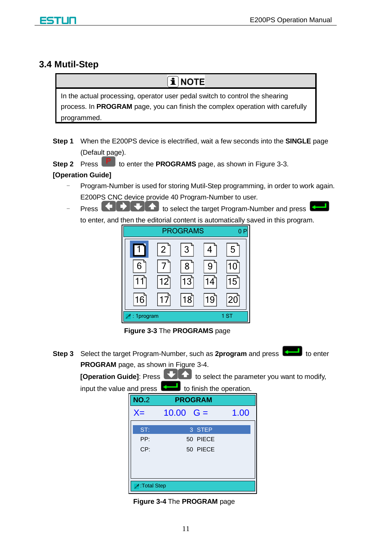#### <span id="page-12-0"></span>**3.4 Mutil-Step**



**Step 1** When the E200PS device is electrified, wait a few seconds into the **SINGLE** page (Default page).

**Step 2** Press **P** to enter the **PROGRAMS** page, as shown in [Figure 3-3.](#page-12-1)

#### **[Operation Guide]**

- Program-Number is used for storing Mutil-Step programming, in order to work again. E200PS CNC device provide 40 Program-Number to user.
- Press **the DUC** to select the target Program-Number and press to enter, and then the editorial content is automatically saved in this program.



**Figure 3-3** The **PROGRAMS** page

<span id="page-12-1"></span>**Step 3** Select the target Program-Number, such as 2program and press **the state** to enter **PROGRAM** page, as shown in [Figure 3-4.](#page-12-2)

**[Operation Guide]:** Press **the select the parameter you want to modify,** input the value and press  $\left| \right\rangle$  to finish the operation.

| <b>NO.2</b> | <b>PROGRAM</b> |      |
|-------------|----------------|------|
| $X =$       | 10.00 $G =$    | 1.00 |
| ST:         | 3 STEP         |      |
| PP:         | 50 PIECE       |      |
| CP:         | 50 PIECE       |      |
|             |                |      |
|             |                |      |
| Total Step: |                |      |

<span id="page-12-2"></span>**Figure 3-4** The **PROGRAM** page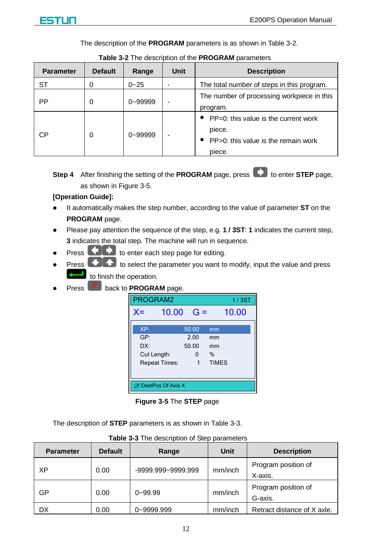

The description of the **PROGRAM** parameters is as shown in [Table 3-2.](#page-13-0)

<span id="page-13-0"></span>

| <b>Parameter</b> | <b>Default</b> | Range        | Unit | <b>Description</b>                                                                                        |
|------------------|----------------|--------------|------|-----------------------------------------------------------------------------------------------------------|
| SТ               | O              | $0 - 25$     |      | The total number of steps in this program.                                                                |
| PP               | 0              | 0~99999      |      | The number of processing workpiece in this<br>program.                                                    |
| СP               | $\Omega$       | $0 - 999999$ |      | $\bullet$ PP=0: this value is the current work<br>piece.<br>PP>0: this value is the remain work<br>piece. |

**Table 3-2** The description of the **PROGRAM** parameters

**Step 4** After finishing the setting of the **PROGRAM** page, press **that** to enter **STEP** page, as shown in [Figure 3-5.](#page-13-1)

#### **[Operation Guide]:**

- It automatically makes the step number, according to the value of parameter **ST** on the **PROGRAM** page.
- Please pay attention the sequence of the step, e.g. **1 / 3ST**: **1** indicates the current step, **3** indicates the total step. The machine will run in sequence.
- Press **that** to enter each step page for editing.
- **Press**  $\bullet$  **to select the parameter you want to modify, input the value and press** to finish the operation.
- Press **P** back to **PROGRAM** page.



**Figure 3-5** The **STEP** page

<span id="page-13-1"></span>The description of **STEP** parameters is as shown in [Table 3-3.](#page-13-2)

<span id="page-13-2"></span>

| <b>Parameter</b> | <b>Default</b> | Range                  |         | <b>Description</b>             |
|------------------|----------------|------------------------|---------|--------------------------------|
| XP               | 0.00           | $-9999.999 - 9999.999$ | mm/inch | Program position of<br>X-axis. |
| GP               | 0.00           | $0 - 99.99$            | mm/inch | Program position of<br>G-axis. |
| DX               | 0.00           | 0~9999.999             | mm/inch | Retract distance of X axle.    |

| Table 3-3 The description of Step parameters |  |
|----------------------------------------------|--|
|----------------------------------------------|--|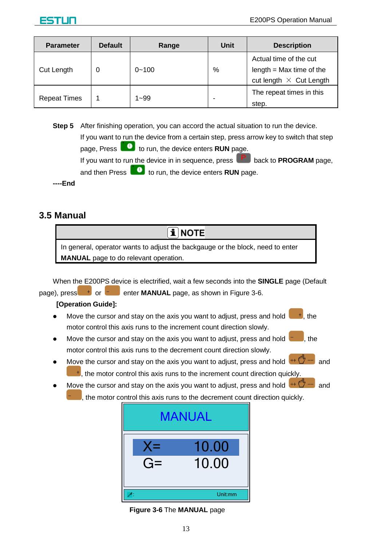| <b>Parameter</b>    | <b>Default</b> | Range     | Unit | <b>Description</b>                                                                     |
|---------------------|----------------|-----------|------|----------------------------------------------------------------------------------------|
| <b>Cut Length</b>   |                | $0 - 100$ | %    | Actual time of the cut<br>length $=$ Max time of the<br>cut length $\times$ Cut Length |
| <b>Repeat Times</b> |                | $1 - 99$  |      | The repeat times in this<br>step.                                                      |

**Step 5** After finishing operation, you can accord the actual situation to run the device. If you want to run the device from a certain step, press arrow key to switch that step page, Press **the letter of the device enters RUN** page. If you want to run the device in in sequence, press **P** back to **PROGRAM** page, and then Press **the Lunnus** to run, the device enters **RUN** page. **----End**

### <span id="page-14-0"></span>**3.5 Manual**

 $\overline{\mathbf{i}}$  NOTE

In general, operator wants to adjust the backgauge or the block, need to enter **MANUAL** page to do relevant operation.

When the E200PS device is electrified, wait a few seconds into the **SINGLE** page (Default page), press<sup>ty</sup> or **example 2-6.** enter **MANUAL** page, as shown in [Figure 3-6.](#page-14-1)

#### **[Operation Guide]:**

- Move the cursor and stay on the axis you want to adjust, press and hold  $\begin{array}{c} \bullet \\ \bullet \end{array}$ , the motor control this axis runs to the increment count direction slowly.
- Move the cursor and stay on the axis you want to adjust, press and hold  $\begin{bmatrix} 1 & 1 \\ 1 & 1 \end{bmatrix}$ , the motor control this axis runs to the decrement count direction slowly.
- Move the cursor and stay on the axis you want to adjust, press and hold  $\overline{a}$  and  $<sup>+</sup>$ , the motor control this axis runs to the increment count direction quickly.</sup>
- Move the cursor and stay on the axis you want to adjust, press and hold  $H^*\mathbb{C}$  and the motor control this axis runs to the decrement count direction quickly.



#### <span id="page-14-1"></span>**Figure 3-6** The **MANUAL** page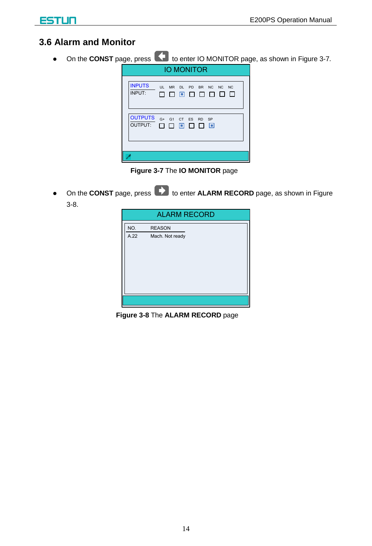### <span id="page-15-0"></span>**3.6 Alarm and Monitor**

• On the **CONST** page, press **that** to enter IO MONITOR page, as shown in [Figure 3-7](#page-15-1).



**Figure 3-7** The **IO MONITOR** page

<span id="page-15-1"></span>On the **CONST** page, press **that** to enter **ALARM RECORD** page, as shown in Figure [3-8.](#page-15-2)

| <b>ALARM RECORD</b> |                 |  |  |  |
|---------------------|-----------------|--|--|--|
| NO.                 | <b>REASON</b>   |  |  |  |
| A.22                | Mach. Not ready |  |  |  |
|                     |                 |  |  |  |
|                     |                 |  |  |  |
|                     |                 |  |  |  |
|                     |                 |  |  |  |
|                     |                 |  |  |  |
|                     |                 |  |  |  |
|                     |                 |  |  |  |
|                     |                 |  |  |  |

<span id="page-15-2"></span>**Figure 3-8** The **ALARM RECORD** page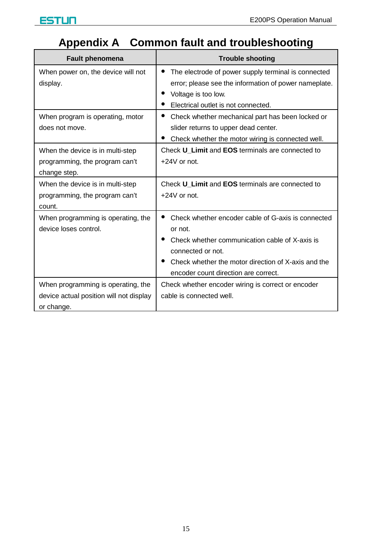## **Appendix A Common fault and troubleshooting**

<span id="page-16-0"></span>

| Fault phenomena                                                                             | <b>Trouble shooting</b>                                                                                                                                                                                                             |
|---------------------------------------------------------------------------------------------|-------------------------------------------------------------------------------------------------------------------------------------------------------------------------------------------------------------------------------------|
| When power on, the device will not<br>display.                                              | The electrode of power supply terminal is connected<br>error; please see the information of power nameplate.<br>Voltage is too low.<br>Electrical outlet is not connected.                                                          |
| When program is operating, motor<br>does not move.                                          | Check whether mechanical part has been locked or<br>slider returns to upper dead center.<br>Check whether the motor wiring is connected well.                                                                                       |
| When the device is in multi-step<br>programming, the program can't<br>change step.          | Check U Limit and EOS terminals are connected to<br>$+24V$ or not.                                                                                                                                                                  |
| When the device is in multi-step<br>programming, the program can't<br>count.                | Check U Limit and EOS terminals are connected to<br>$+24V$ or not.                                                                                                                                                                  |
| When programming is operating, the<br>device loses control.                                 | Check whether encoder cable of G-axis is connected<br>or not.<br>Check whether communication cable of X-axis is<br>connected or not.<br>Check whether the motor direction of X-axis and the<br>encoder count direction are correct. |
| When programming is operating, the<br>device actual position will not display<br>or change. | Check whether encoder wiring is correct or encoder<br>cable is connected well.                                                                                                                                                      |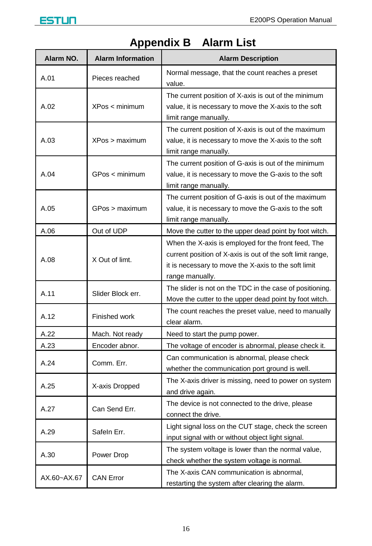

<span id="page-17-0"></span>

| Alarm NO.   | <b>Alarm Information</b> | <b>Alarm Description</b>                                                                                                                                                                     |
|-------------|--------------------------|----------------------------------------------------------------------------------------------------------------------------------------------------------------------------------------------|
| A.01        | Pieces reached           | Normal message, that the count reaches a preset<br>value.                                                                                                                                    |
| A.02        | XPos < minimum           | The current position of X-axis is out of the minimum<br>value, it is necessary to move the X-axis to the soft<br>limit range manually.                                                       |
| A.03        | XPos > maximum           | The current position of X-axis is out of the maximum<br>value, it is necessary to move the X-axis to the soft<br>limit range manually.                                                       |
| A.04        | GPos < minimum           | The current position of G-axis is out of the minimum<br>value, it is necessary to move the G-axis to the soft<br>limit range manually.                                                       |
| A.05        | GPos > maximum           | The current position of G-axis is out of the maximum<br>value, it is necessary to move the G-axis to the soft<br>limit range manually.                                                       |
| A.06        | Out of UDP               | Move the cutter to the upper dead point by foot witch.                                                                                                                                       |
| A.08        | X Out of limt.           | When the X-axis is employed for the front feed, The<br>current position of X-axis is out of the soft limit range,<br>it is necessary to move the X-axis to the soft limit<br>range manually. |
| A.11        | Slider Block err.        | The slider is not on the TDC in the case of positioning.<br>Move the cutter to the upper dead point by foot witch.                                                                           |
| A.12        | Finished work            | The count reaches the preset value, need to manually<br>clear alarm.                                                                                                                         |
| A.22        | Mach. Not ready          | Need to start the pump power.                                                                                                                                                                |
| A.23        | Encoder abnor.           | The voltage of encoder is abnormal, please check it.                                                                                                                                         |
| A.24        | Comm. Err.               | Can communication is abnormal, please check<br>whether the communication port ground is well.                                                                                                |
| A.25        | X-axis Dropped           | The X-axis driver is missing, need to power on system<br>and drive again.                                                                                                                    |
| A.27        | Can Send Err.            | The device is not connected to the drive, please<br>connect the drive.                                                                                                                       |
| A.29        | Safeln Err.              | Light signal loss on the CUT stage, check the screen<br>input signal with or without object light signal.                                                                                    |
| A.30        | Power Drop               | The system voltage is lower than the normal value,<br>check whether the system voltage is normal.                                                                                            |
| AX.60~AX.67 | <b>CAN Error</b>         | The X-axis CAN communication is abnormal,<br>restarting the system after clearing the alarm.                                                                                                 |

## **Appendix B Alarm List**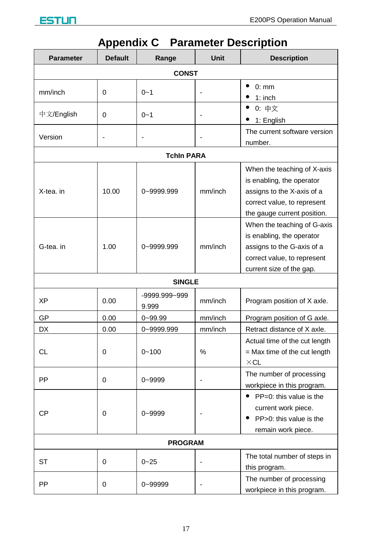

<span id="page-18-0"></span>

| <b>Parameter</b> | <b>Default</b> | Range                  | Unit    | <b>Description</b>                                                                                                                                   |  |  |
|------------------|----------------|------------------------|---------|------------------------------------------------------------------------------------------------------------------------------------------------------|--|--|
| <b>CONST</b>     |                |                        |         |                                                                                                                                                      |  |  |
| mm/inch          | 0              | $0 - 1$                | Ĭ.      | 0:mm<br>$\bullet$<br>$1:$ inch                                                                                                                       |  |  |
| 中文/English       | 0              | $0 - 1$                | L,      | $\bullet$<br>0: 中文<br>٠<br>1: English                                                                                                                |  |  |
| Version          | $\overline{a}$ | $\overline{a}$         |         | The current software version<br>number.                                                                                                              |  |  |
|                  |                | <b>Tchin PARA</b>      |         |                                                                                                                                                      |  |  |
| X-tea. in        | 10.00          | 0~9999.999             | mm/inch | When the teaching of X-axis<br>is enabling, the operator<br>assigns to the X-axis of a<br>correct value, to represent<br>the gauge current position. |  |  |
| G-tea. in        | 1.00           | 0~9999.999             | mm/inch | When the teaching of G-axis<br>is enabling, the operator<br>assigns to the G-axis of a<br>correct value, to represent<br>current size of the gap.    |  |  |
|                  |                | <b>SINGLE</b>          |         |                                                                                                                                                      |  |  |
| XP               | 0.00           | -9999.999~999<br>9.999 | mm/inch | Program position of X axle.                                                                                                                          |  |  |
| GP               | 0.00           | $0 - 99.99$            | mm/inch | Program position of G axle.                                                                                                                          |  |  |
| DX               | 0.00           | 0~9999.999             | mm/inch | Retract distance of X axle.                                                                                                                          |  |  |
| CL               | 0              | $0 - 100$              | %       | Actual time of the cut length<br>$=$ Max time of the cut length<br>$\times$ CL                                                                       |  |  |
| PP               | 0              | 0~9999                 | L.      | The number of processing<br>workpiece in this program.                                                                                               |  |  |
| <b>CP</b>        | 0              | $0 - 9999$             |         | PP=0: this value is the<br>٠<br>current work piece.<br>PP>0: this value is the<br>remain work piece.                                                 |  |  |
| <b>PROGRAM</b>   |                |                        |         |                                                                                                                                                      |  |  |
| ST               | 0              | $0 - 25$               |         | The total number of steps in<br>this program.                                                                                                        |  |  |
| PP               | 0              | 0~99999                |         | The number of processing<br>workpiece in this program.                                                                                               |  |  |

## **Appendix C Parameter Description**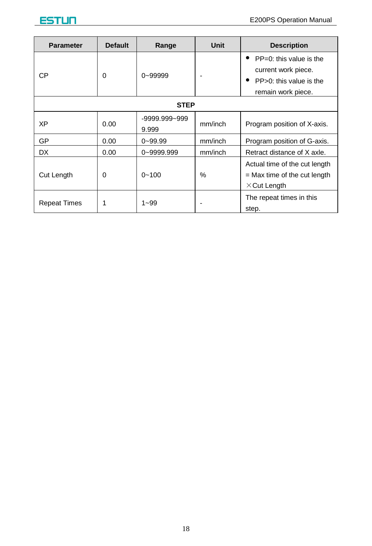| <b>Parameter</b>    | <b>Default</b> | Range                  | Unit    | <b>Description</b>                                                                     |  |  |
|---------------------|----------------|------------------------|---------|----------------------------------------------------------------------------------------|--|--|
| CP                  | 0              | $0 - 999999$           |         | ٠<br>$PP=0$ : this value is the<br>current work piece.                                 |  |  |
|                     |                |                        |         | ٠<br>PP>0: this value is the<br>remain work piece.                                     |  |  |
| <b>STEP</b>         |                |                        |         |                                                                                        |  |  |
| XP                  | 0.00           | -9999.999~999<br>9.999 | mm/inch | Program position of X-axis.                                                            |  |  |
| GP                  | 0.00           | $0 - 99.99$            | mm/inch | Program position of G-axis.                                                            |  |  |
| <b>DX</b>           | 0.00           | 0~9999.999             | mm/inch | Retract distance of X axle.                                                            |  |  |
| Cut Length          | 0              | $0 - 100$              | $\%$    | Actual time of the cut length<br>$=$ Max time of the cut length<br>$\times$ Cut Length |  |  |
| <b>Repeat Times</b> |                | $1 - 99$               |         | The repeat times in this<br>step.                                                      |  |  |